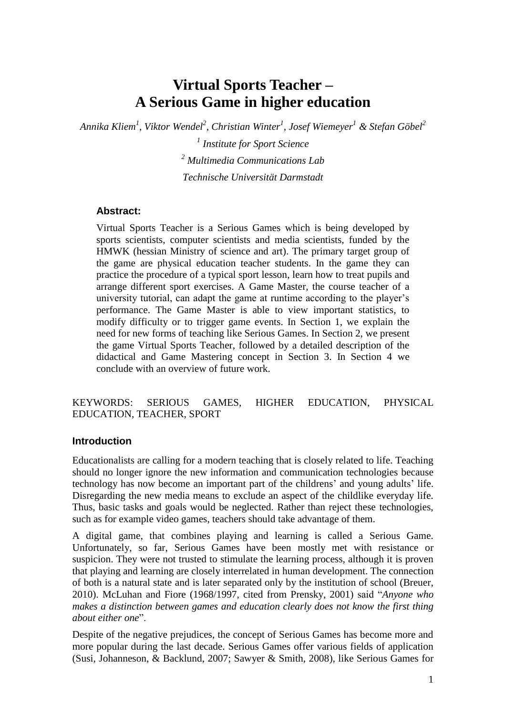# **Virtual Sports Teacher – A Serious Game in higher education**

*Annika Kliem 1 , Viktor Wendel<sup>2</sup> , Christian Winter<sup>1</sup> , Josef Wiemeyer <sup>1</sup> & Stefan Göbel<sup>2</sup>*

*1 Institute for Sport Science <sup>2</sup> Multimedia Communications Lab Technische Universität Darmstadt*

## **Abstract:**

Virtual Sports Teacher is a Serious Games which is being developed by sports scientists, computer scientists and media scientists, funded by the HMWK (hessian Ministry of science and art). The primary target group of the game are physical education teacher students. In the game they can practice the procedure of a typical sport lesson, learn how to treat pupils and arrange different sport exercises. A Game Master, the course teacher of a university tutorial, can adapt the game at runtime according to the player"s performance. The Game Master is able to view important statistics, to modify difficulty or to trigger game events. In Section 1, we explain the need for new forms of teaching like Serious Games. In Section 2, we present the game Virtual Sports Teacher, followed by a detailed description of the didactical and Game Mastering concept in Section 3. In Section 4 we conclude with an overview of future work.

#### KEYWORDS: SERIOUS GAMES, HIGHER EDUCATION, PHYSICAL EDUCATION, TEACHER, SPORT

#### **Introduction**

Educationalists are calling for a modern teaching that is closely related to life. Teaching should no longer ignore the new information and communication technologies because technology has now become an important part of the childrens" and young adults" life. Disregarding the new media means to exclude an aspect of the childlike everyday life. Thus, basic tasks and goals would be neglected. Rather than reject these technologies, such as for example video games, teachers should take advantage of them.

A digital game, that combines playing and learning is called a Serious Game. Unfortunately, so far, Serious Games have been mostly met with resistance or suspicion. They were not trusted to stimulate the learning process, although it is proven that playing and learning are closely interrelated in human development. The connection of both is a natural state and is later separated only by the institution of school (Breuer, 2010). McLuhan and Fiore (1968/1997, cited from Prensky, 2001) said "*Anyone who makes a distinction between games and education clearly does not know the first thing about either one*".

Despite of the negative prejudices, the concept of Serious Games has become more and more popular during the last decade. Serious Games offer various fields of application (Susi, Johanneson, & Backlund, 2007; Sawyer & Smith, 2008), like Serious Games for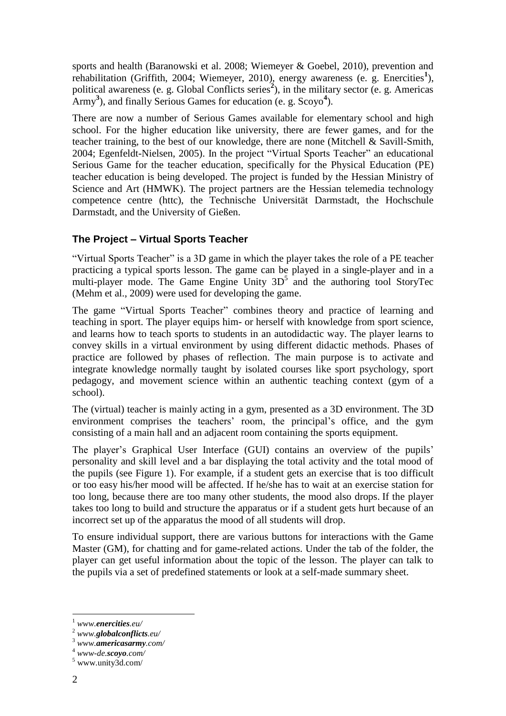sports and health (Baranowski et al. 2008; Wiemeyer & Goebel, 2010), prevention and rehabilitation (Griffith, 2004; Wiemeyer, 2010), energy awareness (e. g. Enercities<sup>1</sup>), political awareness (e. g. Global Conflicts series<sup>2</sup>), in the military sector (e. g. Americas Army<sup>3</sup>), and finally Serious Games for education (e. g. Scoyo<sup>4</sup>).

There are now a number of Serious Games available for elementary school and high school. For the higher education like university, there are fewer games, and for the teacher training, to the best of our knowledge, there are none (Mitchell & Savill-Smith, 2004; Egenfeldt-Nielsen, 2005). In the project "Virtual Sports Teacher" an educational Serious Game for the teacher education, specifically for the Physical Education (PE) teacher education is being developed. The project is funded by the Hessian Ministry of Science and Art (HMWK). The project partners are the Hessian telemedia technology competence centre (httc), the Technische Universität Darmstadt, the Hochschule Darmstadt, and the University of Gießen.

# **The Project – Virtual Sports Teacher**

"Virtual Sports Teacher" is a 3D game in which the player takes the role of a PE teacher practicing a typical sports lesson. The game can be played in a single-player and in a multi-player mode. The Game Engine Unity  $3D^5$  and the authoring tool StoryTec (Mehm et al., 2009) were used for developing the game.

The game "Virtual Sports Teacher" combines theory and practice of learning and teaching in sport. The player equips him- or herself with knowledge from sport science, and learns how to teach sports to students in an autodidactic way. The player learns to convey skills in a virtual environment by using different didactic methods. Phases of practice are followed by phases of reflection. The main purpose is to activate and integrate knowledge normally taught by isolated courses like sport psychology, sport pedagogy, and movement science within an authentic teaching context (gym of a school).

The (virtual) teacher is mainly acting in a gym, presented as a 3D environment. The 3D environment comprises the teachers' room, the principal's office, and the gym consisting of a main hall and an adjacent room containing the sports equipment.

The player's Graphical User Interface (GUI) contains an overview of the pupils' personality and skill level and a bar displaying the total activity and the total mood of the pupils (see Figure 1). For example, if a student gets an exercise that is too difficult or too easy his/her mood will be affected. If he/she has to wait at an exercise station for too long, because there are too many other students, the mood also drops. If the player takes too long to build and structure the apparatus or if a student gets hurt because of an incorrect set up of the apparatus the mood of all students will drop.

To ensure individual support, there are various buttons for interactions with the Game Master (GM), for chatting and for game-related actions. Under the tab of the folder, the player can get useful information about the topic of the lesson. The player can talk to the pupils via a set of predefined statements or look at a self-made summary sheet.

<u>.</u>

<sup>1</sup> *www.enercities.eu/*

<sup>2</sup> *www.globalconflicts.eu/*

<sup>3</sup> *www.americasarmy.com/*

<sup>4</sup> *www-de.scoyo.com/*

 $^5$ www.unity3d.com/  $\,$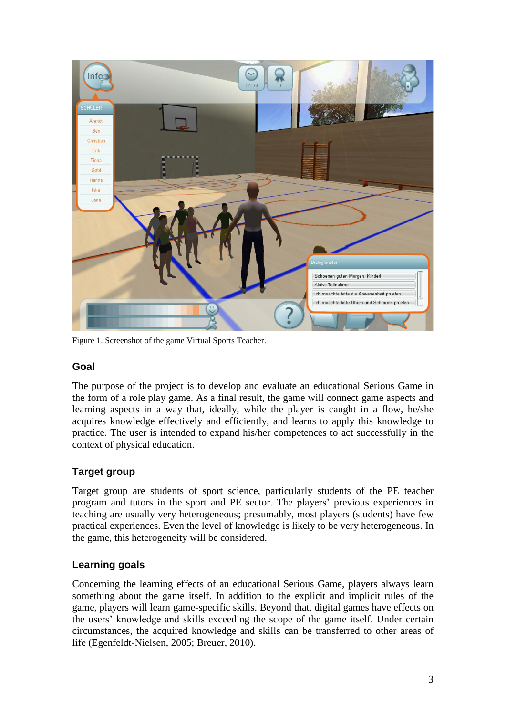

Figure 1. Screenshot of the game Virtual Sports Teacher.

#### **Goal**

The purpose of the project is to develop and evaluate an educational Serious Game in the form of a role play game. As a final result, the game will connect game aspects and learning aspects in a way that, ideally, while the player is caught in a flow, he/she acquires knowledge effectively and efficiently, and learns to apply this knowledge to practice. The user is intended to expand his/her competences to act successfully in the context of physical education.

# **Target group**

Target group are students of sport science, particularly students of the PE teacher program and tutors in the sport and PE sector. The players" previous experiences in teaching are usually very heterogeneous; presumably, most players (students) have few practical experiences. Even the level of knowledge is likely to be very heterogeneous. In the game, this heterogeneity will be considered.

# **Learning goals**

Concerning the learning effects of an educational Serious Game, players always learn something about the game itself. In addition to the explicit and implicit rules of the game, players will learn game-specific skills. Beyond that, digital games have effects on the users" knowledge and skills exceeding the scope of the game itself. Under certain circumstances, the acquired knowledge and skills can be transferred to other areas of life (Egenfeldt-Nielsen, 2005; Breuer, 2010).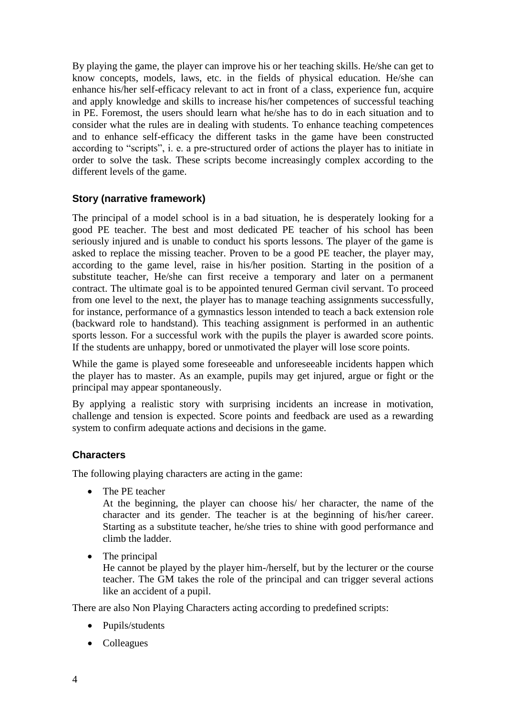By playing the game, the player can improve his or her teaching skills. He/she can get to know concepts, models, laws, etc. in the fields of physical education. He/she can enhance his/her self-efficacy relevant to act in front of a class, experience fun, acquire and apply knowledge and skills to increase his/her competences of successful teaching in PE. Foremost, the users should learn what he/she has to do in each situation and to consider what the rules are in dealing with students. To enhance teaching competences and to enhance self-efficacy the different tasks in the game have been constructed according to "scripts", i. e. a pre-structured order of actions the player has to initiate in order to solve the task. These scripts become increasingly complex according to the different levels of the game.

# **Story (narrative framework)**

The principal of a model school is in a bad situation, he is desperately looking for a good PE teacher. The best and most dedicated PE teacher of his school has been seriously injured and is unable to conduct his sports lessons. The player of the game is asked to replace the missing teacher. Proven to be a good PE teacher, the player may, according to the game level, raise in his/her position. Starting in the position of a substitute teacher, He/she can first receive a temporary and later on a permanent contract. The ultimate goal is to be appointed tenured German civil servant. To proceed from one level to the next, the player has to manage teaching assignments successfully, for instance, performance of a gymnastics lesson intended to teach a back extension role (backward role to handstand). This teaching assignment is performed in an authentic sports lesson. For a successful work with the pupils the player is awarded score points. If the students are unhappy, bored or unmotivated the player will lose score points.

While the game is played some foreseeable and unforeseeable incidents happen which the player has to master. As an example, pupils may get injured, argue or fight or the principal may appear spontaneously.

By applying a realistic story with surprising incidents an increase in motivation, challenge and tension is expected. Score points and feedback are used as a rewarding system to confirm adequate actions and decisions in the game.

#### **Characters**

The following playing characters are acting in the game:

• The PE teacher

At the beginning, the player can choose his/ her character, the name of the character and its gender. The teacher is at the beginning of his/her career. Starting as a substitute teacher, he/she tries to shine with good performance and climb the ladder.

• The principal

He cannot be played by the player him-/herself, but by the lecturer or the course teacher. The GM takes the role of the principal and can trigger several actions like an accident of a pupil.

There are also Non Playing Characters acting according to predefined scripts:

- Pupils/students
- Colleagues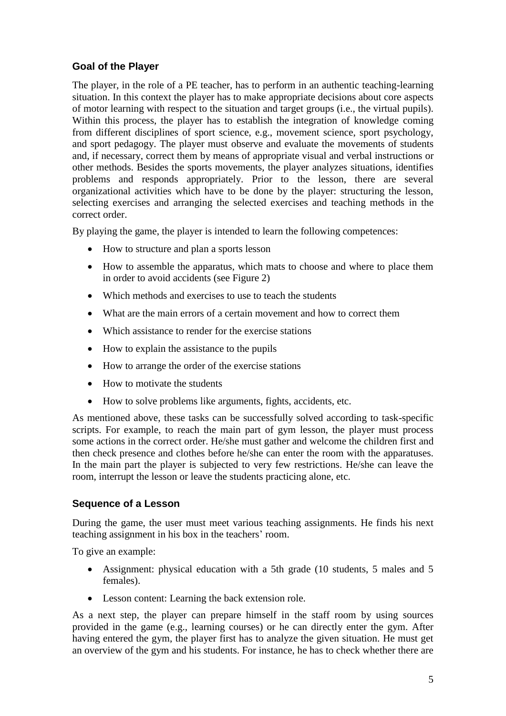# **Goal of the Player**

The player, in the role of a PE teacher, has to perform in an authentic teaching-learning situation. In this context the player has to make appropriate decisions about core aspects of motor learning with respect to the situation and target groups (i.e., the virtual pupils). Within this process, the player has to establish the integration of knowledge coming from different disciplines of sport science, e.g., movement science, sport psychology, and sport pedagogy. The player must observe and evaluate the movements of students and, if necessary, correct them by means of appropriate visual and verbal instructions or other methods. Besides the sports movements, the player analyzes situations, identifies problems and responds appropriately. Prior to the lesson, there are several organizational activities which have to be done by the player: structuring the lesson, selecting exercises and arranging the selected exercises and teaching methods in the correct order.

By playing the game, the player is intended to learn the following competences:

- How to structure and plan a sports lesson
- How to assemble the apparatus, which mats to choose and where to place them in order to avoid accidents (see Figure 2)
- Which methods and exercises to use to teach the students
- What are the main errors of a certain movement and how to correct them
- Which assistance to render for the exercise stations
- How to explain the assistance to the pupils
- How to arrange the order of the exercise stations
- How to motivate the students
- How to solve problems like arguments, fights, accidents, etc.

As mentioned above, these tasks can be successfully solved according to task-specific scripts. For example, to reach the main part of gym lesson, the player must process some actions in the correct order. He/she must gather and welcome the children first and then check presence and clothes before he/she can enter the room with the apparatuses. In the main part the player is subjected to very few restrictions. He/she can leave the room, interrupt the lesson or leave the students practicing alone, etc.

#### **Sequence of a Lesson**

During the game, the user must meet various teaching assignments. He finds his next teaching assignment in his box in the teachers' room.

To give an example:

- Assignment: physical education with a 5th grade (10 students, 5 males and 5 females).
- Lesson content: Learning the back extension role.

As a next step, the player can prepare himself in the staff room by using sources provided in the game (e.g., learning courses) or he can directly enter the gym. After having entered the gym, the player first has to analyze the given situation. He must get an overview of the gym and his students. For instance, he has to check whether there are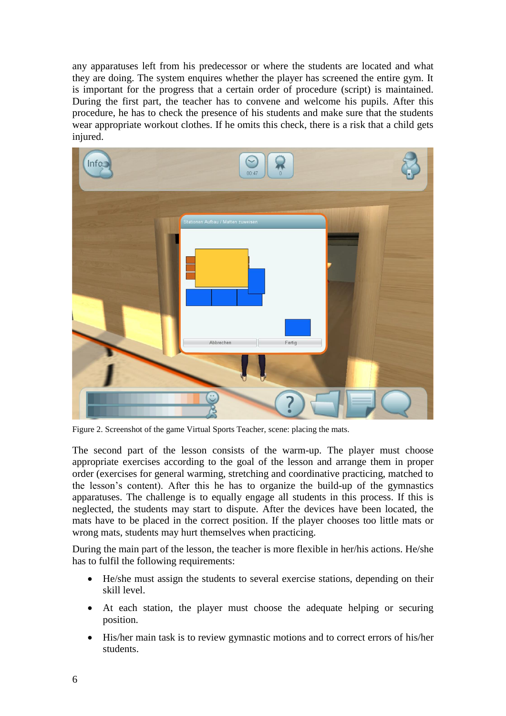any apparatuses left from his predecessor or where the students are located and what they are doing. The system enquires whether the player has screened the entire gym. It is important for the progress that a certain order of procedure (script) is maintained. During the first part, the teacher has to convene and welcome his pupils. After this procedure, he has to check the presence of his students and make sure that the students wear appropriate workout clothes. If he omits this check, there is a risk that a child gets injured.



Figure 2. Screenshot of the game Virtual Sports Teacher, scene: placing the mats.

The second part of the lesson consists of the warm-up. The player must choose appropriate exercises according to the goal of the lesson and arrange them in proper order (exercises for general warming, stretching and coordinative practicing, matched to the lesson"s content). After this he has to organize the build-up of the gymnastics apparatuses. The challenge is to equally engage all students in this process. If this is neglected, the students may start to dispute. After the devices have been located, the mats have to be placed in the correct position. If the player chooses too little mats or wrong mats, students may hurt themselves when practicing.

During the main part of the lesson, the teacher is more flexible in her/his actions. He/she has to fulfil the following requirements:

- He/she must assign the students to several exercise stations, depending on their skill level.
- At each station, the player must choose the adequate helping or securing position.
- His/her main task is to review gymnastic motions and to correct errors of his/her students.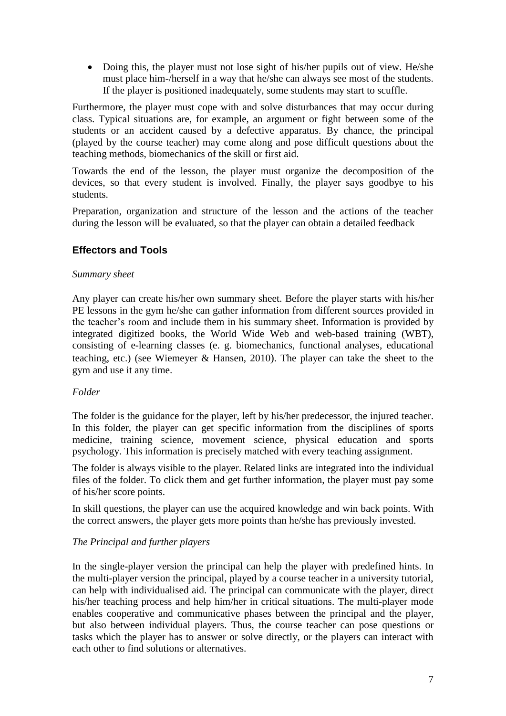• Doing this, the player must not lose sight of his/her pupils out of view. He/she must place him-/herself in a way that he/she can always see most of the students. If the player is positioned inadequately, some students may start to scuffle.

Furthermore, the player must cope with and solve disturbances that may occur during class. Typical situations are, for example, an argument or fight between some of the students or an accident caused by a defective apparatus. By chance, the principal (played by the course teacher) may come along and pose difficult questions about the teaching methods, biomechanics of the skill or first aid.

Towards the end of the lesson, the player must organize the decomposition of the devices, so that every student is involved. Finally, the player says goodbye to his students.

Preparation, organization and structure of the lesson and the actions of the teacher during the lesson will be evaluated, so that the player can obtain a detailed feedback

## **Effectors and Tools**

#### *Summary sheet*

Any player can create his/her own summary sheet. Before the player starts with his/her PE lessons in the gym he/she can gather information from different sources provided in the teacher"s room and include them in his summary sheet. Information is provided by integrated digitized books, the World Wide Web and web-based training (WBT), consisting of e-learning classes (e. g. biomechanics, functional analyses, educational teaching, etc.) (see Wiemeyer & Hansen, 2010). The player can take the sheet to the gym and use it any time.

#### *Folder*

The folder is the guidance for the player, left by his/her predecessor, the injured teacher. In this folder, the player can get specific information from the disciplines of sports medicine, training science, movement science, physical education and sports psychology. This information is precisely matched with every teaching assignment.

The folder is always visible to the player. Related links are integrated into the individual files of the folder. To click them and get further information, the player must pay some of his/her score points.

In skill questions, the player can use the acquired knowledge and win back points. With the correct answers, the player gets more points than he/she has previously invested.

#### *The Principal and further players*

In the single-player version the principal can help the player with predefined hints. In the multi-player version the principal, played by a course teacher in a university tutorial, can help with individualised aid. The principal can communicate with the player, direct his/her teaching process and help him/her in critical situations. The multi-player mode enables cooperative and communicative phases between the principal and the player, but also between individual players. Thus, the course teacher can pose questions or tasks which the player has to answer or solve directly, or the players can interact with each other to find solutions or alternatives.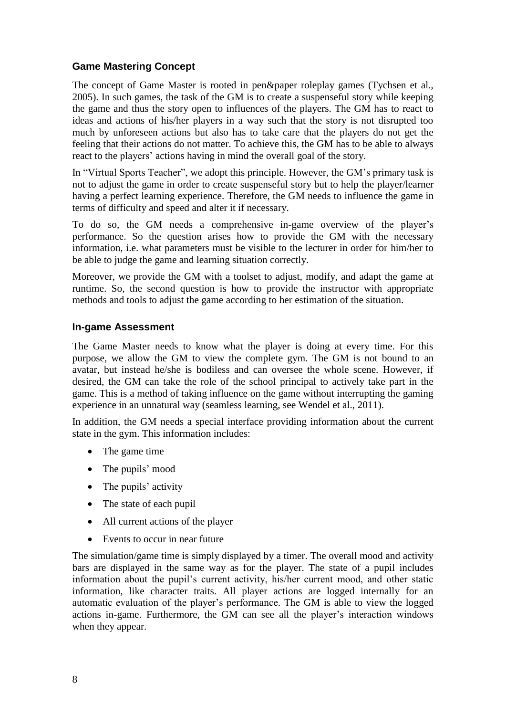# **Game Mastering Concept**

The concept of Game Master is rooted in pen&paper roleplay games (Tychsen et al., 2005). In such games, the task of the GM is to create a suspenseful story while keeping the game and thus the story open to influences of the players. The GM has to react to ideas and actions of his/her players in a way such that the story is not disrupted too much by unforeseen actions but also has to take care that the players do not get the feeling that their actions do not matter. To achieve this, the GM has to be able to always react to the players' actions having in mind the overall goal of the story.

In "Virtual Sports Teacher", we adopt this principle. However, the GM"s primary task is not to adjust the game in order to create suspenseful story but to help the player/learner having a perfect learning experience. Therefore, the GM needs to influence the game in terms of difficulty and speed and alter it if necessary.

To do so, the GM needs a comprehensive in-game overview of the player"s performance. So the question arises how to provide the GM with the necessary information, i.e. what parameters must be visible to the lecturer in order for him/her to be able to judge the game and learning situation correctly.

Moreover, we provide the GM with a toolset to adjust, modify, and adapt the game at runtime. So, the second question is how to provide the instructor with appropriate methods and tools to adjust the game according to her estimation of the situation.

#### **In-game Assessment**

The Game Master needs to know what the player is doing at every time. For this purpose, we allow the GM to view the complete gym. The GM is not bound to an avatar, but instead he/she is bodiless and can oversee the whole scene. However, if desired, the GM can take the role of the school principal to actively take part in the game. This is a method of taking influence on the game without interrupting the gaming experience in an unnatural way (seamless learning, see Wendel et al., 2011).

In addition, the GM needs a special interface providing information about the current state in the gym. This information includes:

- The game time
- The pupils' mood
- The pupils' activity
- The state of each pupil
- All current actions of the player
- Events to occur in near future

The simulation/game time is simply displayed by a timer. The overall mood and activity bars are displayed in the same way as for the player. The state of a pupil includes information about the pupil"s current activity, his/her current mood, and other static information, like character traits. All player actions are logged internally for an automatic evaluation of the player"s performance. The GM is able to view the logged actions in-game. Furthermore, the GM can see all the player"s interaction windows when they appear.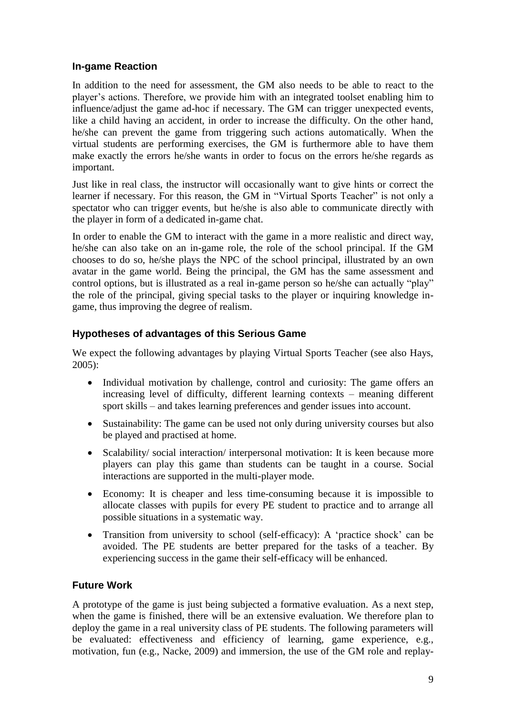## **In-game Reaction**

In addition to the need for assessment, the GM also needs to be able to react to the player"s actions. Therefore, we provide him with an integrated toolset enabling him to influence/adjust the game ad-hoc if necessary. The GM can trigger unexpected events, like a child having an accident, in order to increase the difficulty. On the other hand, he/she can prevent the game from triggering such actions automatically. When the virtual students are performing exercises, the GM is furthermore able to have them make exactly the errors he/she wants in order to focus on the errors he/she regards as important.

Just like in real class, the instructor will occasionally want to give hints or correct the learner if necessary. For this reason, the GM in "Virtual Sports Teacher" is not only a spectator who can trigger events, but he/she is also able to communicate directly with the player in form of a dedicated in-game chat.

In order to enable the GM to interact with the game in a more realistic and direct way, he/she can also take on an in-game role, the role of the school principal. If the GM chooses to do so, he/she plays the NPC of the school principal, illustrated by an own avatar in the game world. Being the principal, the GM has the same assessment and control options, but is illustrated as a real in-game person so he/she can actually "play" the role of the principal, giving special tasks to the player or inquiring knowledge ingame, thus improving the degree of realism.

## **Hypotheses of advantages of this Serious Game**

We expect the following advantages by playing Virtual Sports Teacher (see also Hays, 2005):

- Individual motivation by challenge, control and curiosity: The game offers an increasing level of difficulty, different learning contexts – meaning different sport skills – and takes learning preferences and gender issues into account.
- Sustainability: The game can be used not only during university courses but also be played and practised at home.
- Scalability/social interaction/interpersonal motivation: It is keen because more players can play this game than students can be taught in a course. Social interactions are supported in the multi-player mode.
- Economy: It is cheaper and less time-consuming because it is impossible to allocate classes with pupils for every PE student to practice and to arrange all possible situations in a systematic way.
- Transition from university to school (self-efficacy): A 'practice shock' can be avoided. The PE students are better prepared for the tasks of a teacher. By experiencing success in the game their self-efficacy will be enhanced.

# **Future Work**

A prototype of the game is just being subjected a formative evaluation. As a next step, when the game is finished, there will be an extensive evaluation. We therefore plan to deploy the game in a real university class of PE students. The following parameters will be evaluated: effectiveness and efficiency of learning, game experience, e.g., motivation, fun (e.g., Nacke, 2009) and immersion, the use of the GM role and replay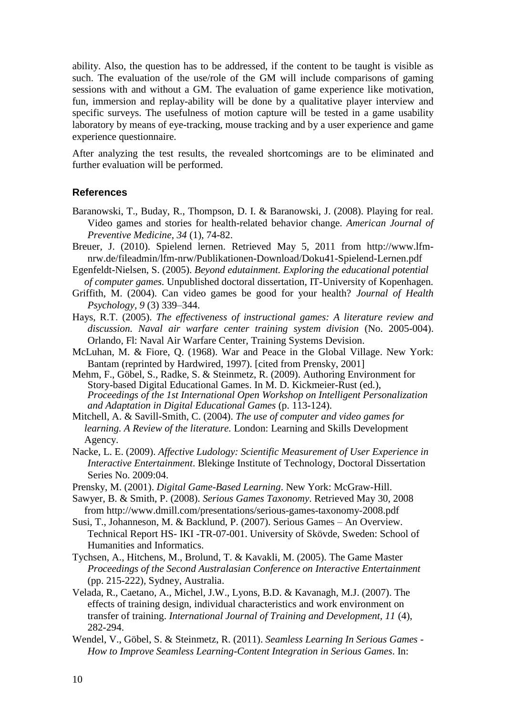ability. Also, the question has to be addressed, if the content to be taught is visible as such. The evaluation of the use/role of the GM will include comparisons of gaming sessions with and without a GM. The evaluation of game experience like motivation, fun, immersion and replay-ability will be done by a qualitative player interview and specific surveys. The usefulness of motion capture will be tested in a game usability laboratory by means of eye-tracking, mouse tracking and by a user experience and game experience questionnaire.

After analyzing the test results, the revealed shortcomings are to be eliminated and further evaluation will be performed.

#### **References**

- Baranowski, T., Buday, R., Thompson, D. I. & Baranowski, J. (2008). Playing for real. Video games and stories for health-related behavior change. *American Journal of Preventive Medicine*, *34* (1), 74-82.
- Breuer, J. (2010). Spielend lernen. Retrieved May 5, 2011 from http://www.lfmnrw.de/fileadmin/lfm-nrw/Publikationen-Download/Doku41-Spielend-Lernen.pdf
- Egenfeldt-Nielsen, S. (2005). *Beyond edutainment. Exploring the educational potential of computer games.* Unpublished doctoral dissertation, IT-University of Kopenhagen.
- Griffith, M. (2004). Can video games be good for your health? *Journal of Health Psychology, 9* (3) 339–344.
- Hays, R.T. (2005). *The effectiveness of instructional games: A literature review and discussion. Naval air warfare center training system division* (No. 2005-004). Orlando, Fl: Naval Air Warfare Center, Training Systems Devision.
- McLuhan, M. & Fiore, Q. (1968). War and Peace in the Global Village. New York: Bantam (reprinted by Hardwired, 1997). [cited from Prensky, 2001]
- Mehm, F., Göbel, S., Radke, S. & Steinmetz, R. (2009). Authoring Environment for Story-based Digital Educational Games. In M. D. Kickmeier-Rust (ed.), *Proceedings of the 1st International Open Workshop on Intelligent Personalization and Adaptation in Digital Educational Games* (p. 113-124).
- Mitchell, A. & Savill-Smith, C. (2004). *The use of computer and video games for learning. A Review of the literature.* London: Learning and Skills Development Agency.
- Nacke, L. E. (2009). *Affective Ludology: Scientific Measurement of User Experience in Interactive Entertainment*. Blekinge Institute of Technology, Doctoral Dissertation Series No. 2009:04.
- Prensky, M. (2001). *Digital Game-Based Learning*. New York: McGraw-Hill.
- Sawyer, B. & Smith, P. (2008). *Serious Games Taxonomy*. Retrieved May 30, 2008 from http://www.dmill.com/presentations/serious-games-taxonomy-2008.pdf
- Susi, T., Johanneson, M. & Backlund, P. (2007). Serious Games An Overview. Technical Report HS- IKI -TR-07-001. University of Skövde, Sweden: School of Humanities and Informatics.
- Tychsen, A., Hitchens, M., Brolund, T. & Kavakli, M. (2005). The Game Master *Proceedings of the Second Australasian Conference on Interactive Entertainment* (pp. 215-222)*,* Sydney, Australia.
- Velada, R., Caetano, A., Michel, J.W., Lyons, B.D. & Kavanagh, M.J. (2007). The effects of training design, individual characteristics and work environment on transfer of training. *International Journal of Training and Development, 11* (4), 282-294.
- [Wendel,](http://www.kom.tu-darmstadt.de/de/kom-multimedia-communications-lab/mitarbeiter/staff/viktor-wendel/?no_cache=1) V., Göbel, S. & [Steinmetz,](http://www.kom.tu-darmstadt.de/de/kom-multimedia-communications-lab/mitarbeiter/staff/ralf-steinmetz/?no_cache=1) R. (2011). *[Seamless Learning In Serious Games -](http://www.kom.tu-darmstadt.de/de/research-results/publications/publications-details/publications/WGS11-1/?no_cache=1) [How to Improve Seamless Learning-Content Integration in Serious Games](http://www.kom.tu-darmstadt.de/de/research-results/publications/publications-details/publications/WGS11-1/?no_cache=1)*. In: